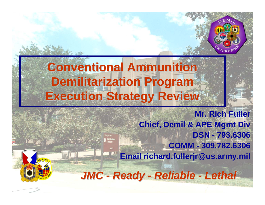

# **Conventional Ammunition Demilitarization Program Execution Strategy Review Execution Strategy Review**

Joint Munition

**Mr. Rich Fuller Chief, Demil & APE Mgmt Div DSN - 793.6306COMM - 309.782.6306 Email richard.fullerjr@us.army.mil**



*JMC - Ready - Reliable - Lethal*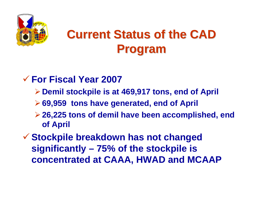

# **Current Status of the CAD Program Program**

#### 9 **For Fiscal Year 2007**

- ¾**Demil stockpile is at 469,917 tons, end of April**
- ¾**69,959 tons have generated, end of April**
- ¾**26,225 tons of demil have been accomplished, end of April**
- 9 **Stockpile breakdown has not changed significantly – 75% of the stockpile is concentrated at CAAA, HWAD and MCAAP**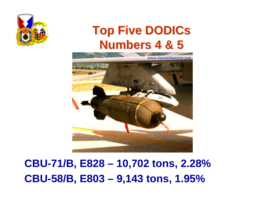

# **Top Five DODICs Top Five DODICs Numbers 4 & 5 Numbers 4 & 5**



**CBU-71/B, E828 – 10,702 tons, 2.28% CBU-58/B, E803 – 9,143 tons, 1.95%**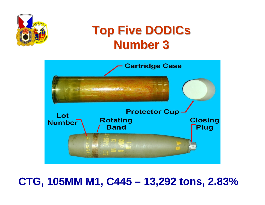

# **Top Five DODICs Top Five DODICs Number 3 Number 3**



## **CTG, 105MM M1, C445 – 13,292 tons, 2.83%**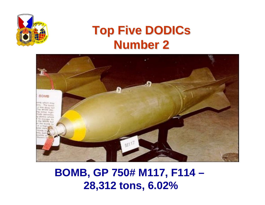

# **Top Five DODICs Top Five DODICs Number 2 Number 2**



#### **BOMB, GP 750# M117, F114 – 28,312 tons, 6.02%**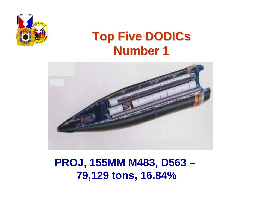

# **Top Five DODICs Top Five DODICs Number 1 Number 1**



**PROJ, 155MM M483, D563 – 79,129 tons, 16.84%**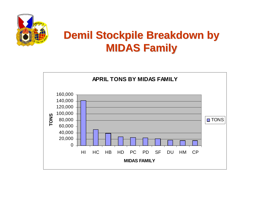

#### **Demil Stockpile Breakdown by MIDAS Family MIDAS Family**

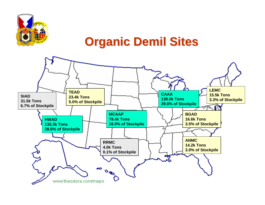

#### **Organic Demil Sites Organic Demil Sites**

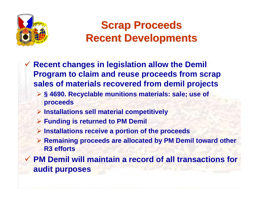

#### **Scrap Proceeds Scrap Proceeds Recent Developments Recent Developments**

- $\checkmark$  **Recent changes in legislation allow the Demil Program to claim and reuse proceeds from scrap sales of materials recovered from demil projects**
	- ¾ **§ 4690. Recyclable munitions materials: sale; use of proceeds**
	- ¾ **Installations sell material competitively**
	- ¾ **Funding is returned to PM Demil**
	- ¾ **Installations receive a portion of the proceeds**
	- ¾ **Remaining proceeds are allocated by PM Demil toward other R3 efforts**
- 9 **PM Demil will maintain a record of all transactions for audit purposes**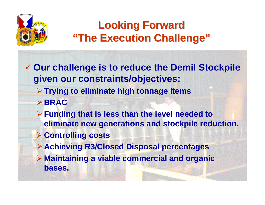

## **Looking Forward Looking Forward "The Execution Challenge" "The Execution Challenge"**

9 **Our challenge is to reduce the Demil Stockpile given our constraints/objectives:**

- ¾**Trying to eliminate high tonnage items** ¾**BRAC**
- ¾**Funding that is less than the level needed to eliminate new generations and stockpile reduction.**
- ¾**Controlling costs**
- ¾**Achieving R3/Closed Disposal percentages**
- ¾ **Maintaining a viable commercial and organic bases.**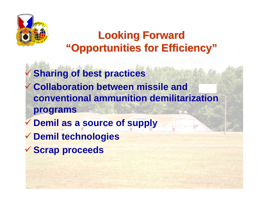

#### **Looking Forward Looking Forward "Opportunities for Efficiency" "Opportunities for Efficiency"**

 $\checkmark$  **Sharing of best practices**  $\checkmark$  **Collaboration between missile and conventional ammunition demilitarization programs** 

- $\checkmark$ **Demil as a source of supply**
- 9 **Demil technologies**
- 9 **Scrap proceeds**